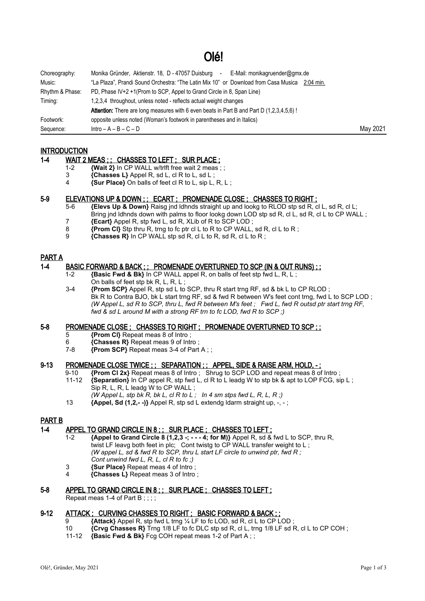# Olé!

| Choreography:   | Monika Gründer, Aktienstr. 18, D - 47057 Duisburg - E-Mail: monikagruender@gmx.de               |          |
|-----------------|-------------------------------------------------------------------------------------------------|----------|
| Music:          | "La Plaza", Prandi Sound Orchestra: "The Latin Mix 10" or Download from Casa Musica 2:04 min.   |          |
| Rhythm & Phase: | PD, Phase IV+2 +1(Prom to SCP, Appel to Grand Circle in 8, Span Line)                           |          |
| Timing:         | 1,2,3,4 throughout, unless noted - reflects actual weight changes                               |          |
|                 | <b>Attention:</b> There are long measures with 6 even beats in Part B and Part D (1.2.3.4.5.6)! |          |
| Footwork:       | opposite unless noted (Woman's footwork in parentheses and in Italics)                          |          |
| Sequence:       | $Intro - A - B - C - D$                                                                         | May 2021 |

## **INTRODUCTION**

## 1-4 WAIT 2 MEAS ; ; CHASSES TO LEFT ; SUR PLACE ;

- 1-2 **{Wait 2}** In CP WALL w/trlft free wait 2 meas;;<br>3 **{Chasses L}** Appel R, sd L, cl R to L, sd L;
- 3 **{Chasses L}** Appel R, sd L, cl R to L, sd L ;
- 4 **{Sur Place}** On balls of feet cl R to L, sip L, R, L ;

#### 5-9 ELEVATIONS UP & DOWN ; ; ECART ; PROMENADE CLOSE ; CHASSES TO RIGHT ;

- 5-6 **{Elevs Up & Down}** Raisg jnd ldhnds straight up and lookg to RLOD stp sd R, cl L, sd R, cl L; Bring jnd ldhnds down with palms to floor lookg down LOD stp sd R, cl L, sd R, cl L to CP WALL;
- 7 **{Ecart}** Appel R, stp fwd L, sd R, XLib of R to SCP LOD ;
- 8 **{Prom Cl}** Stp thru R, trng to fc ptr cl L to R to CP WALL, sd R, cl L to R ;
- 9 **{Chasses R}** In CP WALL stp sd R, cl L to R, sd R, cl L to R ;

## PART A

#### 1-4 BASIC FORWARD & BACK ; ; PROMENADE OVERTURNED TO SCP (IN & OUT RUNS) ; ;

- 1-2 **{Basic Fwd & Bk}** In CP WALL appel R, on balls of feet stp fwd L, R, L ; On balls of feet stp bk R, L, R, L ;
- 3-4 **{Prom SCP}** Appel R, stp sd L to SCP, thru R start trng RF, sd & bk L to CP RLOD ; Bk R to Contra BJO, bk L start trng RF, sd & fwd R between W's feet cont trng, fwd L to SCP LOD ; *(W Appel L, sd R to SCP, thru L, fwd R between M's feet ; Fwd L, fwd R outsd ptr start trng RF, fwd & sd L around M with a strong RF trn to fc LOD, fwd R to SCP ;)*

#### 5-8 PROMENADE CLOSE ; CHASSES TO RIGHT ; PROMENADE OVERTURNED TO SCP ; ;

- 5 **{Prom Cl}** Repeat meas 8 of Intro ;
- 6 **{Chasses R}** Repeat meas 9 of Intro ;
- **{Prom SCP}** Repeat meas 3-4 of Part A ::

## 9-13 PROMENADE CLOSE TWICE ; ; SEPARATION ; ; APPEL, SIDE & RAISE ARM, HOLD, - ;

- 9-10 **{Prom Cl 2x}** Repeat meas 8 of Intro ; Shrug to SCP LOD and repeat meas 8 of Intro ;
	- 11-12 **{Separation}** In CP appel R, stp fwd L, cl R to L leadg W to stp bk & apt to LOP FCG, sip L ; Sip R, L, R, L leadg W to CP WALL ;
	- *(W Appel L, stp bk R, bk L, cl R to L ; In 4 sm stps fwd L, R, L, R ;)*
	- 13 **{Appel, Sd (1,2,- -)}** Appel R, stp sd L extendg ldarm straight up, -, ;

## PART B

## 1-4 APPEL TO GRAND CIRCLE IN 8;; SUR PLACE; CHASSES TO LEFT;

- 1-2 **{Appel to Grand Circle 8 (1,2,3 -; - 4; for M)}** Appel R, sd & fwd L to SCP, thru R, twist LF leavg both feet in plc; Cont twistg to CP WALL transfer weight to L ; *(W appel L, sd & fwd R to SCP, thru L start LF circle to unwind ptr, fwd R ; Cont unwind fwd L, R, L, cl R to fc ;)*
- 3 **{Sur Place}** Repeat meas 4 of Intro ;
- 4 **{Chasses L}** Repeat meas 3 of Intro ;

## 5-8 APPEL TO GRAND CIRCLE IN 8:; SUR PLACE ; CHASSES TO LEFT ;

Repeat meas 1-4 of Part B : : : :

## 9-12 ATTACK ; CURVING CHASSES TO RIGHT ; BASIC FORWARD & BACK ; ;

- 9 **{Attack}** Appel R, stp fwd L trng ¼ LF to fc LOD, sd R, cl L to CP LOD ;
- 10 **{Crvg Chasses R}** Trng 1/8 LF to fc DLC stp sd R, cl L, trng 1/8 LF sd R, cl L to CP COH ;<br>11-12 **{Basic Fwd & Bk}** Fcg COH repeat meas 1-2 of Part A : :
- 11-12 **{Basic Fwd & Bk}** Fcg COH repeat meas 1-2 of Part A ; ;